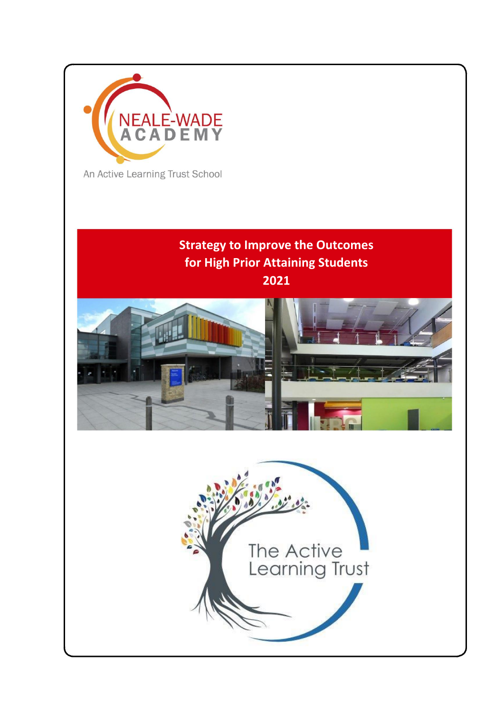

**Strategy to Improve the Outcomes for High Prior Attaining Students 2021**



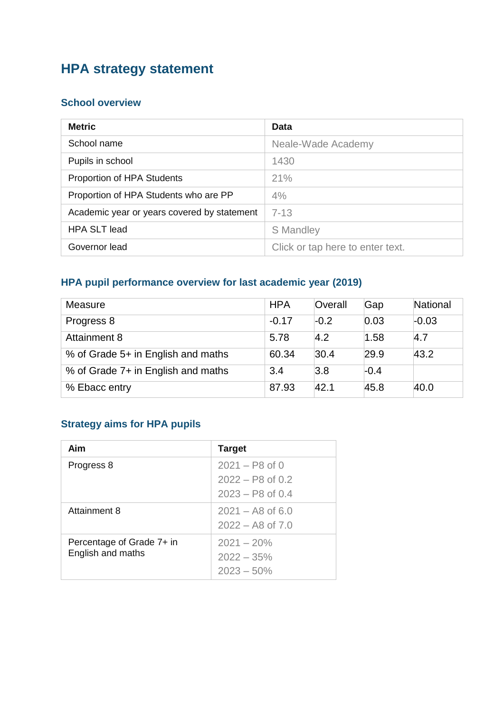# **HPA strategy statement**

#### **School overview**

| <b>Metric</b>                               | Data                             |
|---------------------------------------------|----------------------------------|
| School name                                 | Neale-Wade Academy               |
| Pupils in school                            | 1430                             |
| Proportion of HPA Students                  | 21%                              |
| Proportion of HPA Students who are PP       | 4%                               |
| Academic year or years covered by statement | $7 - 13$                         |
| <b>HPA SLT lead</b>                         | <b>S</b> Mandley                 |
| Governor lead                               | Click or tap here to enter text. |

### **HPA pupil performance overview for last academic year (2019)**

| Measure                            | <b>HPA</b> | Overall | Gap    | National |
|------------------------------------|------------|---------|--------|----------|
| Progress 8                         | $-0.17$    | $-0.2$  | 0.03   | $-0.03$  |
| Attainment 8                       | 5.78       | 4.2     | 1.58   | 4.7      |
| % of Grade 5+ in English and maths | 60.34      | 30.4    | 29.9   | 43.2     |
| % of Grade 7+ in English and maths | 3.4        | 3.8     | $-0.4$ |          |
| % Ebacc entry                      | 87.93      | 42.1    | 45.8   | 40.0     |

### **Strategy aims for HPA pupils**

| Aim                                            | <b>Target</b>                                                |
|------------------------------------------------|--------------------------------------------------------------|
| Progress 8                                     | $2021 - P8$ of 0<br>$2022 - P8$ of 0.2<br>$2023 - P8$ of 0.4 |
| Attainment 8                                   | $2021 - AB$ of 6.0<br>$2022 - A8$ of $7.0$                   |
| Percentage of Grade 7+ in<br>English and maths | $2021 - 20%$<br>$2022 - 35%$<br>$2023 - 50\%$                |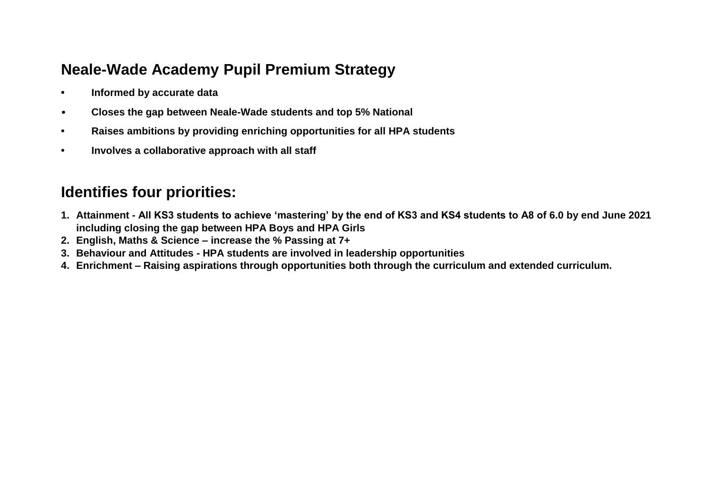### **Neale-Wade Academy Pupil Premium Strategy**

- **• Informed by accurate data**
- **Closes the gap between Neale-Wade students and top 5% National**
- **• Raises ambitions by providing enriching opportunities for all HPA students**
- **• Involves a collaborative approach with all staff**

## **Identifies four priorities:**

- **1. Attainment - All KS3 students to achieve 'mastering' by the end of KS3 and KS4 students to A8 of 6.0 by end June 2021 including closing the gap between HPA Boys and HPA Girls**
- **2. English, Maths & Science – increase the % Passing at 7+**
- **3. Behaviour and Attitudes - HPA students are involved in leadership opportunities**
- **4. Enrichment – Raising aspirations through opportunities both through the curriculum and extended curriculum.**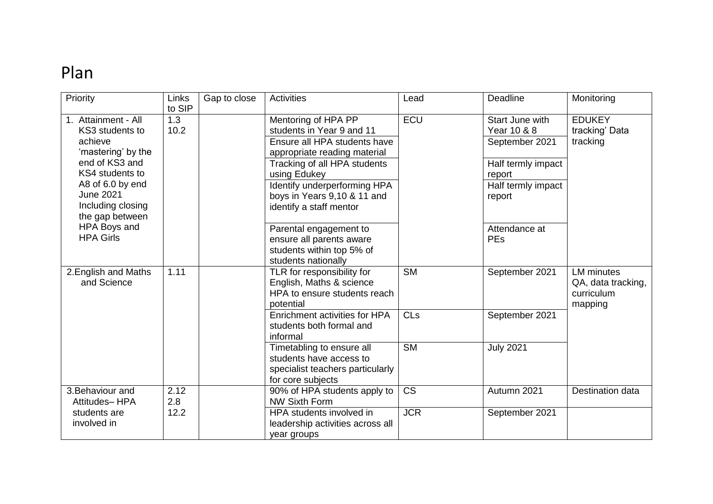# Plan

| Priority             | Links  | Gap to close | <b>Activities</b>                | Lead            | Deadline           | Monitoring         |
|----------------------|--------|--------------|----------------------------------|-----------------|--------------------|--------------------|
|                      | to SIP |              |                                  |                 |                    |                    |
| 1. Attainment - All  | 1.3    |              | Mentoring of HPA PP              | ECU             | Start June with    | <b>EDUKEY</b>      |
| KS3 students to      | 10.2   |              | students in Year 9 and 11        |                 | Year 10 & 8        | tracking' Data     |
| achieve              |        |              | Ensure all HPA students have     |                 | September 2021     | tracking           |
| 'mastering' by the   |        |              | appropriate reading material     |                 |                    |                    |
| end of KS3 and       |        |              | Tracking of all HPA students     |                 | Half termly impact |                    |
| KS4 students to      |        |              | using Edukey                     |                 | report             |                    |
| A8 of 6.0 by end     |        |              | Identify underperforming HPA     |                 | Half termly impact |                    |
| <b>June 2021</b>     |        |              | boys in Years 9,10 & 11 and      |                 | report             |                    |
| Including closing    |        |              | identify a staff mentor          |                 |                    |                    |
| the gap between      |        |              |                                  |                 |                    |                    |
| HPA Boys and         |        |              | Parental engagement to           |                 | Attendance at      |                    |
| <b>HPA Girls</b>     |        |              | ensure all parents aware         |                 | <b>PEs</b>         |                    |
|                      |        |              | students within top 5% of        |                 |                    |                    |
|                      |        |              | students nationally              |                 |                    |                    |
| 2. English and Maths | 1.11   |              | TLR for responsibility for       | <b>SM</b>       | September 2021     | <b>LM</b> minutes  |
| and Science          |        |              | English, Maths & science         |                 |                    | QA, data tracking, |
|                      |        |              | HPA to ensure students reach     |                 |                    | curriculum         |
|                      |        |              | potential                        |                 |                    | mapping            |
|                      |        |              | Enrichment activities for HPA    | CL <sub>S</sub> | September 2021     |                    |
|                      |        |              | students both formal and         |                 |                    |                    |
|                      |        |              | informal                         |                 |                    |                    |
|                      |        |              | Timetabling to ensure all        | <b>SM</b>       | <b>July 2021</b>   |                    |
|                      |        |              | students have access to          |                 |                    |                    |
|                      |        |              | specialist teachers particularly |                 |                    |                    |
|                      |        |              | for core subjects                |                 |                    |                    |
| 3. Behaviour and     | 2.12   |              | 90% of HPA students apply to     | <b>CS</b>       | Autumn 2021        | Destination data   |
| Attitudes-HPA        | 2.8    |              | <b>NW Sixth Form</b>             |                 |                    |                    |
| students are         | 12.2   |              | HPA students involved in         | <b>JCR</b>      | September 2021     |                    |
| involved in          |        |              | leadership activities across all |                 |                    |                    |
|                      |        |              | year groups                      |                 |                    |                    |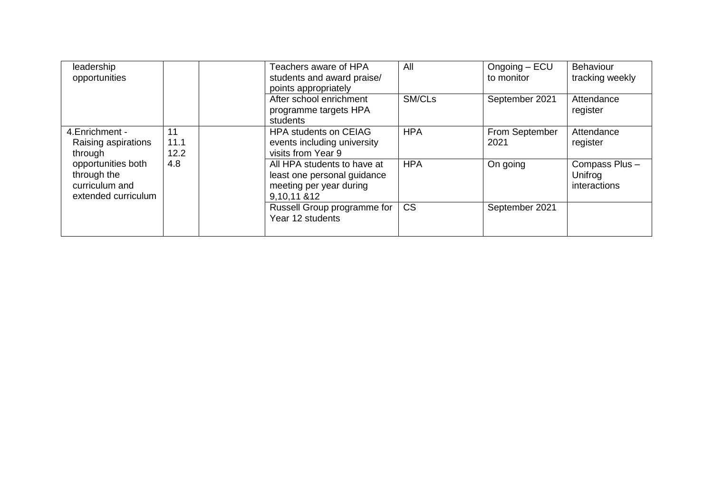| leadership                                                                 |                    | Teachers aware of HPA                                                                                 | All        | $O$ ngoing $-$ ECU     | Behaviour                                |
|----------------------------------------------------------------------------|--------------------|-------------------------------------------------------------------------------------------------------|------------|------------------------|------------------------------------------|
| opportunities                                                              |                    | students and award praise/<br>points appropriately                                                    |            | to monitor             | tracking weekly                          |
|                                                                            |                    | After school enrichment<br>programme targets HPA<br>students                                          | SM/CLs     | September 2021         | Attendance<br>register                   |
| 4. Enrichment -<br>Raising aspirations<br>through                          | 11<br>11.1<br>12.2 | <b>HPA students on CEIAG</b><br>events including university<br>visits from Year 9                     | <b>HPA</b> | From September<br>2021 | Attendance<br>register                   |
| opportunities both<br>through the<br>curriculum and<br>extended curriculum | 4.8                | All HPA students to have at<br>least one personal guidance<br>meeting per year during<br>9,10,11 & 12 | <b>HPA</b> | On going               | Compass Plus-<br>Unifrog<br>interactions |
|                                                                            |                    | Russell Group programme for<br>Year 12 students                                                       | <b>CS</b>  | September 2021         |                                          |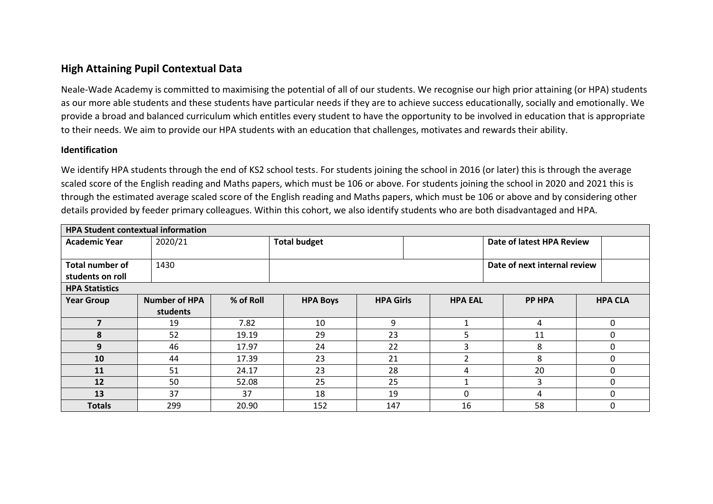#### **High Attaining Pupil Contextual Data**

Neale-Wade Academy is committed to maximising the potential of all of our students. We recognise our high prior attaining (or HPA) students as our more able students and these students have particular needs if they are to achieve success educationally, socially and emotionally. We provide a broad and balanced curriculum which entitles every student to have the opportunity to be involved in education that is appropriate to their needs. We aim to provide our HPA students with an education that challenges, motivates and rewards their ability.

#### **Identification**

We identify HPA students through the end of KS2 school tests. For students joining the school in 2016 (or later) this is through the average scaled score of the English reading and Maths papers, which must be 106 or above. For students joining the school in 2020 and 2021 this is through the estimated average scaled score of the English reading and Maths papers, which must be 106 or above and by considering other details provided by feeder primary colleagues. Within this cohort, we also identify students who are both disadvantaged and HPA.

| <b>HPA Student contextual information</b> |                      |           |                     |                  |  |                           |                              |                |  |
|-------------------------------------------|----------------------|-----------|---------------------|------------------|--|---------------------------|------------------------------|----------------|--|
| <b>Academic Year</b>                      | 2020/21              |           | <b>Total budget</b> |                  |  | Date of latest HPA Review |                              |                |  |
|                                           |                      |           |                     |                  |  |                           |                              |                |  |
| Total number of                           | 1430                 |           |                     |                  |  |                           | Date of next internal review |                |  |
| students on roll                          |                      |           |                     |                  |  |                           |                              |                |  |
| <b>HPA Statistics</b>                     |                      |           |                     |                  |  |                           |                              |                |  |
| <b>Year Group</b>                         | <b>Number of HPA</b> | % of Roll | <b>HPA Boys</b>     | <b>HPA Girls</b> |  | <b>HPA EAL</b>            | <b>PP HPA</b>                | <b>HPA CLA</b> |  |
|                                           | students             |           |                     |                  |  |                           |                              |                |  |
|                                           | 19                   | 7.82      | 10                  | 9                |  |                           | 4                            | 0              |  |
| 8                                         | 52                   | 19.19     | 29                  | 23               |  | 5                         | 11                           | 0              |  |
| 9                                         | 46                   | 17.97     | 24                  | 22               |  | 3                         | 8                            | 0              |  |
| 10                                        | 44                   | 17.39     | 23                  | 21               |  |                           | 8                            | 0              |  |
| 11                                        | 51                   | 24.17     | 23                  | 28               |  | 4                         | 20                           | 0              |  |
| 12                                        | 50                   | 52.08     | 25                  | 25               |  |                           | 3                            | 0              |  |
| 13                                        | 37                   | 37        | 18                  | 19               |  | 0                         | 4                            | 0              |  |
| <b>Totals</b>                             | 299                  | 20.90     | 152                 | 147              |  | 16                        | 58                           | 0              |  |